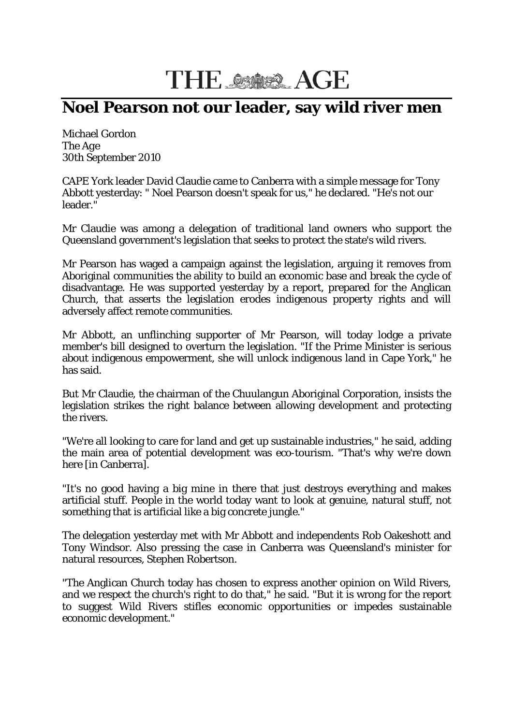## THE SSOS AGE

## **Noel Pearson not our leader, say wild river men**

Michael Gordon The *Age* 30th September 2010

CAPE York leader David Claudie came to Canberra with a simple message for Tony Abbott yesterday: " Noel Pearson doesn't speak for us," he declared. "He's not our leader."

Mr Claudie was among a delegation of traditional land owners who support the Queensland government's legislation that seeks to protect the state's wild rivers.

Mr Pearson has waged a campaign against the legislation, arguing it removes from Aboriginal communities the ability to build an economic base and break the cycle of disadvantage. He was supported yesterday by a report, prepared for the Anglican Church, that asserts the legislation erodes indigenous property rights and will adversely affect remote communities.

Mr Abbott, an unflinching supporter of Mr Pearson, will today lodge a private member's bill designed to overturn the legislation. "If the Prime Minister is serious about indigenous empowerment, she will unlock indigenous land in Cape York," he has said.

But Mr Claudie, the chairman of the Chuulangun Aboriginal Corporation, insists the legislation strikes the right balance between allowing development and protecting the rivers.

"We're all looking to care for land and get up sustainable industries," he said, adding the main area of potential development was eco-tourism. "That's why we're down here [in Canberra].

"It's no good having a big mine in there that just destroys everything and makes artificial stuff. People in the world today want to look at genuine, natural stuff, not something that is artificial like a big concrete jungle."

The delegation yesterday met with Mr Abbott and independents Rob Oakeshott and Tony Windsor. Also pressing the case in Canberra was Queensland's minister for natural resources, Stephen Robertson.

"The Anglican Church today has chosen to express another opinion on Wild Rivers, and we respect the church's right to do that," he said. "But it is wrong for the report to suggest Wild Rivers stifles economic opportunities or impedes sustainable economic development."